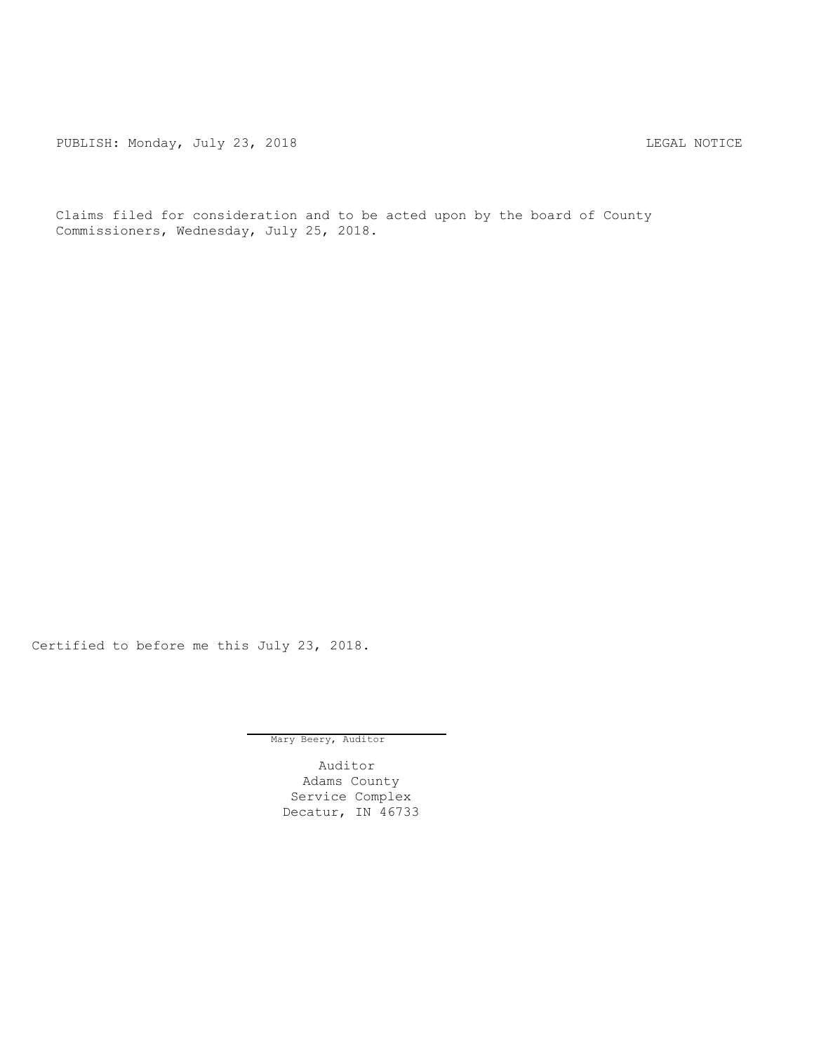PUBLISH: Monday, July 23, 2018 CHANGE CONSERVATION CONTRACT MOTICE

Claims filed for consideration and to be acted upon by the board of County Commissioners, Wednesday, July 25, 2018.

Certified to before me this July 23, 2018.

Mary Beery, Auditor

Auditor Adams County Service Complex Decatur, IN 46733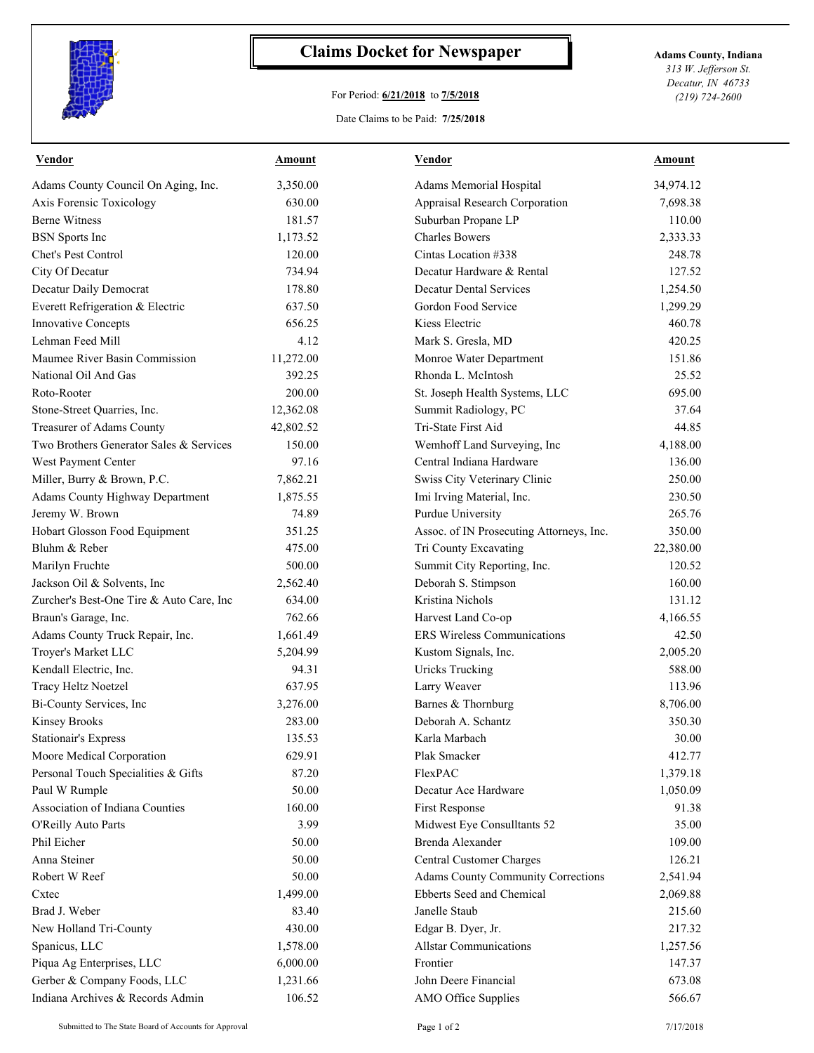

## **Claims Docket for Newspaper Adams County, Indiana**

## For Period: **6/21/2018** to **7/5/2018**

*313 W. Jefferson St. Decatur, IN 46733 (219) 724-2600*

## Date Claims to be Paid: **7/25/2018**

| <b>Vendor</b>                            | Amount    | Vendor                                   | Amount    |
|------------------------------------------|-----------|------------------------------------------|-----------|
| Adams County Council On Aging, Inc.      | 3,350.00  | Adams Memorial Hospital                  | 34,974.12 |
| Axis Forensic Toxicology                 | 630.00    | Appraisal Research Corporation           | 7,698.38  |
| <b>Berne Witness</b>                     | 181.57    | Suburban Propane LP                      | 110.00    |
| <b>BSN</b> Sports Inc                    | 1,173.52  | <b>Charles Bowers</b>                    | 2,333.33  |
| Chet's Pest Control                      | 120.00    | Cintas Location #338                     | 248.78    |
| City Of Decatur                          | 734.94    | Decatur Hardware & Rental                | 127.52    |
| Decatur Daily Democrat                   | 178.80    | <b>Decatur Dental Services</b>           | 1,254.50  |
| Everett Refrigeration & Electric         | 637.50    | Gordon Food Service                      | 1,299.29  |
| Innovative Concepts                      | 656.25    | Kiess Electric                           | 460.78    |
| Lehman Feed Mill                         | 4.12      | Mark S. Gresla, MD                       | 420.25    |
| Maumee River Basin Commission            | 11,272.00 | Monroe Water Department                  | 151.86    |
| National Oil And Gas                     | 392.25    | Rhonda L. McIntosh                       | 25.52     |
| Roto-Rooter                              | 200.00    | St. Joseph Health Systems, LLC           | 695.00    |
| Stone-Street Quarries, Inc.              | 12,362.08 | Summit Radiology, PC                     | 37.64     |
| Treasurer of Adams County                | 42,802.52 | Tri-State First Aid                      | 44.85     |
| Two Brothers Generator Sales & Services  | 150.00    | Wemhoff Land Surveying, Inc              | 4,188.00  |
| West Payment Center                      | 97.16     | Central Indiana Hardware                 | 136.00    |
| Miller, Burry & Brown, P.C.              | 7,862.21  | Swiss City Veterinary Clinic             | 250.00    |
| Adams County Highway Department          | 1,875.55  | Imi Irving Material, Inc.                | 230.50    |
| Jeremy W. Brown                          | 74.89     | Purdue University                        | 265.76    |
| Hobart Glosson Food Equipment            | 351.25    | Assoc. of IN Prosecuting Attorneys, Inc. | 350.00    |
| Bluhm & Reber                            | 475.00    | Tri County Excavating                    | 22,380.00 |
| Marilyn Fruchte                          | 500.00    | Summit City Reporting, Inc.              | 120.52    |
| Jackson Oil & Solvents, Inc.             | 2,562.40  | Deborah S. Stimpson                      | 160.00    |
| Zurcher's Best-One Tire & Auto Care, Inc | 634.00    | Kristina Nichols                         | 131.12    |
| Braun's Garage, Inc.                     | 762.66    | Harvest Land Co-op                       | 4,166.55  |
| Adams County Truck Repair, Inc.          | 1,661.49  | <b>ERS</b> Wireless Communications       | 42.50     |
| Troyer's Market LLC                      | 5,204.99  | Kustom Signals, Inc.                     | 2,005.20  |
| Kendall Electric, Inc.                   | 94.31     | <b>Uricks Trucking</b>                   | 588.00    |
| Tracy Heltz Noetzel                      | 637.95    | Larry Weaver                             | 113.96    |
| Bi-County Services, Inc                  | 3,276.00  | Barnes & Thornburg                       | 8,706.00  |
| <b>Kinsey Brooks</b>                     | 283.00    | Deborah A. Schantz                       | 350.30    |
| <b>Stationair's Express</b>              | 135.53    | Karla Marbach                            | 30.00     |
| Moore Medical Corporation                | 629.91    | Plak Smacker                             | 412.77    |
| Personal Touch Specialities & Gifts      | 87.20     | FlexPAC                                  | 1,379.18  |
| Paul W Rumple                            | 50.00     | Decatur Ace Hardware                     | 1,050.09  |
| Association of Indiana Counties          | 160.00    | First Response                           | 91.38     |
| O'Reilly Auto Parts                      | 3.99      | Midwest Eye Consulltants 52              | 35.00     |
| Phil Eicher                              | 50.00     | Brenda Alexander                         | 109.00    |
| Anna Steiner                             | 50.00     | <b>Central Customer Charges</b>          | 126.21    |
| Robert W Reef                            | 50.00     | Adams County Community Corrections       | 2,541.94  |
| Cxtec                                    | 1,499.00  | Ebberts Seed and Chemical                | 2,069.88  |
| Brad J. Weber                            | 83.40     | Janelle Staub                            | 215.60    |
| New Holland Tri-County                   | 430.00    | Edgar B. Dyer, Jr.                       | 217.32    |
| Spanicus, LLC                            | 1,578.00  | <b>Allstar Communications</b>            | 1,257.56  |
| Piqua Ag Enterprises, LLC                | 6,000.00  | Frontier                                 | 147.37    |
| Gerber & Company Foods, LLC              | 1,231.66  | John Deere Financial                     | 673.08    |
| Indiana Archives & Records Admin         | 106.52    | AMO Office Supplies                      | 566.67    |
|                                          |           |                                          |           |